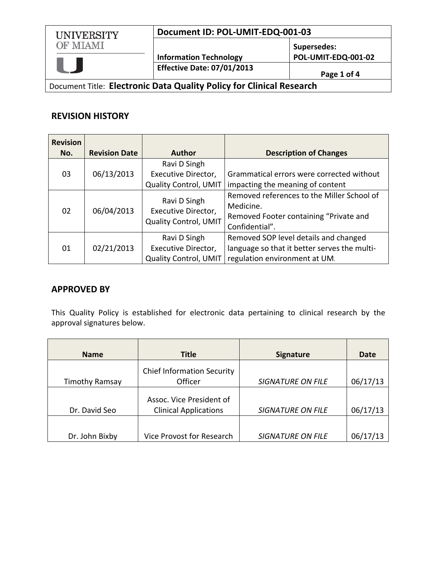# **Document ID: POL‐UMIT‐EDQ‐001‐03**



**Information Technology Effective Date: 07/01/2013 Page <sup>1</sup> of <sup>4</sup>**

**Supersedes: POL‐UMIT‐EDQ‐001‐02**

Document Title: **Electronic Data Quality Policy for Clinical Research**

## **REVISION HISTORY**

| <b>Revision</b> |                      |                                                              |                                              |
|-----------------|----------------------|--------------------------------------------------------------|----------------------------------------------|
| No.             | <b>Revision Date</b> | <b>Author</b>                                                | <b>Description of Changes</b>                |
|                 |                      | Ravi D Singh                                                 |                                              |
| 03              | 06/13/2013           | Executive Director,                                          | Grammatical errors were corrected without    |
|                 |                      | <b>Quality Control, UMIT</b>                                 | impacting the meaning of content             |
| 02              | 06/04/2013           | Ravi D Singh<br>Executive Director,<br>Quality Control, UMIT | Removed references to the Miller School of   |
|                 |                      |                                                              | Medicine.                                    |
|                 |                      |                                                              | Removed Footer containing "Private and       |
|                 |                      |                                                              | Confidential".                               |
|                 |                      | Ravi D Singh                                                 | Removed SOP level details and changed        |
| 01              | 02/21/2013           | Executive Director,                                          | language so that it better serves the multi- |
|                 |                      | <b>Quality Control, UMIT</b>                                 | regulation environment at UM.                |

# **APPROVED BY**

This Quality Policy is established for electronic data pertaining to clinical research by the approval signatures below.

| <b>Name</b>           | <b>Title</b>                      | <b>Signature</b>         | Date     |
|-----------------------|-----------------------------------|--------------------------|----------|
|                       | <b>Chief Information Security</b> |                          |          |
| <b>Timothy Ramsay</b> | Officer                           | <b>SIGNATURE ON FILE</b> | 06/17/13 |
|                       | Assoc. Vice President of          |                          |          |
| Dr. David Seo         | <b>Clinical Applications</b>      | <b>SIGNATURE ON FILE</b> | 06/17/13 |
|                       |                                   |                          |          |
| Dr. John Bixby        | Vice Provost for Research         | <b>SIGNATURE ON FILE</b> | 06/17/13 |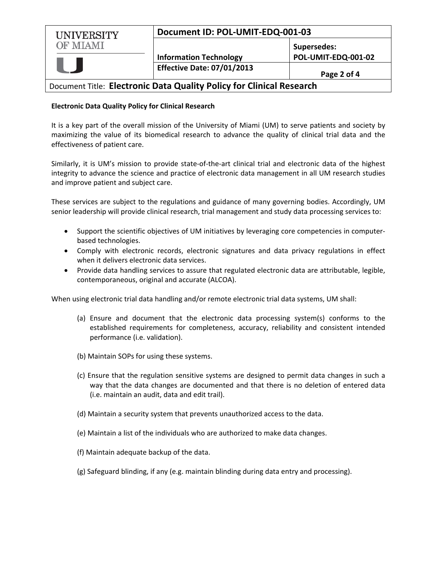| UNIVERSITY      | Document ID: POL-UMIT-EDQ-001-03  |                     |
|-----------------|-----------------------------------|---------------------|
| <b>OF MIAMI</b> |                                   | Supersedes:         |
|                 | <b>Information Technology</b>     | POL-UMIT-EDQ-001-02 |
|                 | <b>Effective Date: 07/01/2013</b> | Page 2 of 4         |

## Document Title: **Electronic Data Quality Policy for Clinical Research**

#### **Electronic Data Quality Policy for Clinical Research**

It is a key part of the overall mission of the University of Miami (UM) to serve patients and society by maximizing the value of its biomedical research to advance the quality of clinical trial data and the effectiveness of patient care.

Similarly, it is UM's mission to provide state‐of‐the‐art clinical trial and electronic data of the highest integrity to advance the science and practice of electronic data management in all UM research studies and improve patient and subject care.

These services are subject to the regulations and guidance of many governing bodies. Accordingly, UM senior leadership will provide clinical research, trial management and study data processing services to:

- Support the scientific objectives of UM initiatives by leveraging core competencies in computer‐ based technologies.
- Comply with electronic records, electronic signatures and data privacy regulations in effect when it delivers electronic data services.
- Provide data handling services to assure that regulated electronic data are attributable, legible, contemporaneous, original and accurate (ALCOA).

When using electronic trial data handling and/or remote electronic trial data systems, UM shall:

- (a) Ensure and document that the electronic data processing system(s) conforms to the established requirements for completeness, accuracy, reliability and consistent intended performance (i.e. validation).
- (b) Maintain SOPs for using these systems.
- (c) Ensure that the regulation sensitive systems are designed to permit data changes in such a way that the data changes are documented and that there is no deletion of entered data (i.e. maintain an audit, data and edit trail).
- (d) Maintain a security system that prevents unauthorized access to the data.
- (e) Maintain a list of the individuals who are authorized to make data changes.
- (f) Maintain adequate backup of the data.
- (g) Safeguard blinding, if any (e.g. maintain blinding during data entry and processing).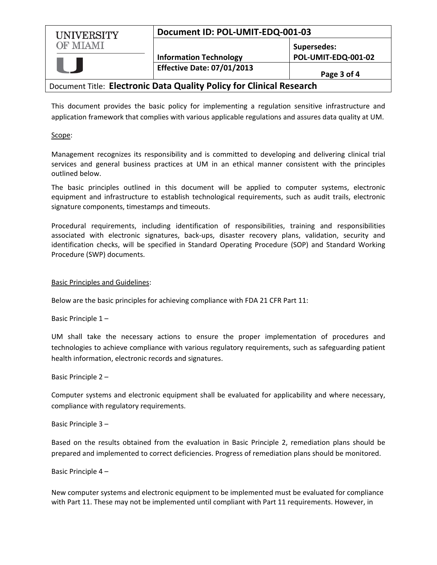| <b>UNIVERSITY</b> | Document ID: POL-UMIT-EDQ-001-03  |                                           |
|-------------------|-----------------------------------|-------------------------------------------|
| <b>OF MIAMI</b>   | <b>Information Technology</b>     | <b>Supersedes:</b><br>POL-UMIT-EDQ-001-02 |
|                   | <b>Effective Date: 07/01/2013</b> | Page 3 of 4                               |

## Document Title: **Electronic Data Quality Policy for Clinical Research**

This document provides the basic policy for implementing a regulation sensitive infrastructure and application framework that complies with various applicable regulations and assures data quality at UM.

#### Scope:

Management recognizes its responsibility and is committed to developing and delivering clinical trial services and general business practices at UM in an ethical manner consistent with the principles outlined below.

The basic principles outlined in this document will be applied to computer systems, electronic equipment and infrastructure to establish technological requirements, such as audit trails, electronic signature components, timestamps and timeouts.

Procedural requirements, including identification of responsibilities, training and responsibilities associated with electronic signatures, back-ups, disaster recovery plans, validation, security and identification checks, will be specified in Standard Operating Procedure (SOP) and Standard Working Procedure (SWP) documents.

#### Basic Principles and Guidelines:

Below are the basic principles for achieving compliance with FDA 21 CFR Part 11:

Basic Principle 1 –

UM shall take the necessary actions to ensure the proper implementation of procedures and technologies to achieve compliance with various regulatory requirements, such as safeguarding patient health information, electronic records and signatures.

#### Basic Principle 2 –

Computer systems and electronic equipment shall be evaluated for applicability and where necessary, compliance with regulatory requirements.

#### Basic Principle 3 –

Based on the results obtained from the evaluation in Basic Principle 2, remediation plans should be prepared and implemented to correct deficiencies. Progress of remediation plans should be monitored.

#### Basic Principle 4 –

New computer systems and electronic equipment to be implemented must be evaluated for compliance with Part 11. These may not be implemented until compliant with Part 11 requirements. However, in